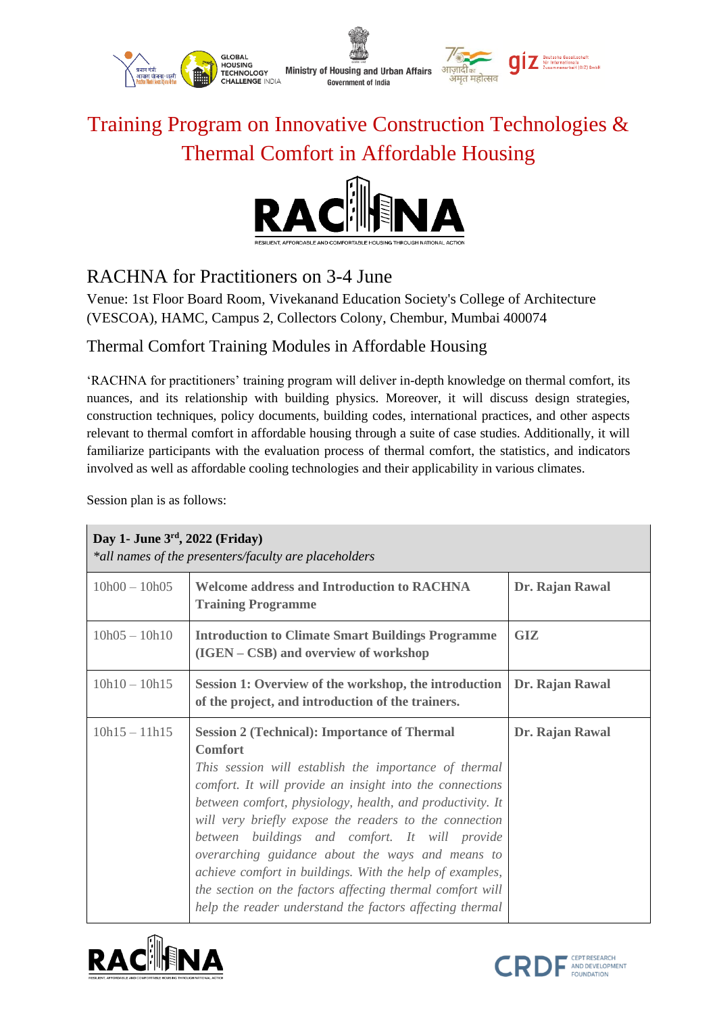

## Training Program on Innovative Construction Technologies & Thermal Comfort in Affordable Housing



## RACHNA for Practitioners on 3-4 June

Venue: 1st Floor Board Room, Vivekanand Education Society's College of Architecture (VESCOA), HAMC, Campus 2, Collectors Colony, Chembur, Mumbai 400074

## Thermal Comfort Training Modules in Affordable Housing

'RACHNA for practitioners' training program will deliver in-depth knowledge on thermal comfort, its nuances, and its relationship with building physics. Moreover, it will discuss design strategies, construction techniques, policy documents, building codes, international practices, and other aspects relevant to thermal comfort in affordable housing through a suite of case studies. Additionally, it will familiarize participants with the evaluation process of thermal comfort, the statistics, and indicators involved as well as affordable cooling technologies and their applicability in various climates.

Session plan is as follows:

| Day 1- June $3rd$ , 2022 (Friday)<br>*all names of the presenters/faculty are placeholders |                                                                                                                                                                                                                                                                                                                                                                                                                                                                                                                                                                                                              |                 |  |  |
|--------------------------------------------------------------------------------------------|--------------------------------------------------------------------------------------------------------------------------------------------------------------------------------------------------------------------------------------------------------------------------------------------------------------------------------------------------------------------------------------------------------------------------------------------------------------------------------------------------------------------------------------------------------------------------------------------------------------|-----------------|--|--|
| $10h00 - 10h05$                                                                            | <b>Welcome address and Introduction to RACHNA</b><br><b>Training Programme</b>                                                                                                                                                                                                                                                                                                                                                                                                                                                                                                                               | Dr. Rajan Rawal |  |  |
| $10h05 - 10h10$                                                                            | <b>Introduction to Climate Smart Buildings Programme</b><br>(IGEN – CSB) and overview of workshop                                                                                                                                                                                                                                                                                                                                                                                                                                                                                                            | GIZ             |  |  |
| $10h10 - 10h15$                                                                            | Session 1: Overview of the workshop, the introduction<br>of the project, and introduction of the trainers.                                                                                                                                                                                                                                                                                                                                                                                                                                                                                                   | Dr. Rajan Rawal |  |  |
| $10h15 - 11h15$                                                                            | <b>Session 2 (Technical): Importance of Thermal</b><br><b>Comfort</b><br>This session will establish the importance of thermal<br>comfort. It will provide an insight into the connections<br>between comfort, physiology, health, and productivity. It<br>will very briefly expose the readers to the connection<br>between buildings and comfort. It will provide<br>overarching guidance about the ways and means to<br>achieve comfort in buildings. With the help of examples,<br>the section on the factors affecting thermal comfort will<br>help the reader understand the factors affecting thermal | Dr. Rajan Rawal |  |  |



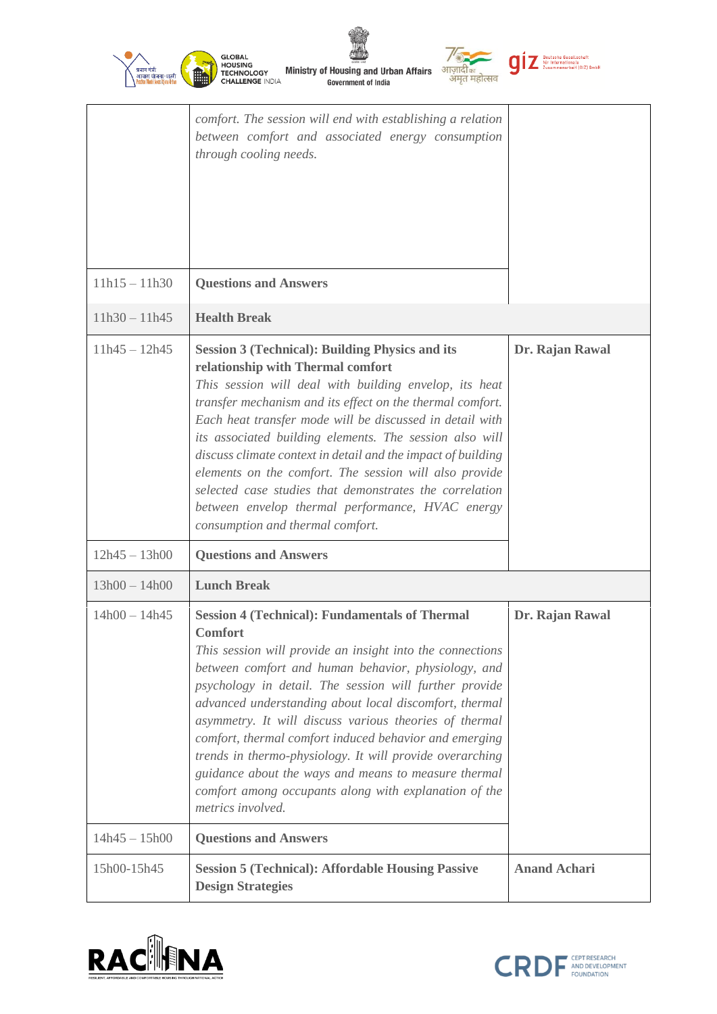| प्रवान मंत्री<br>आवास योजना-शहरी | <b>GLOBAL</b><br><b>HOUSING</b><br><b>Ministry of Housing and Urban Affairs</b><br><b>TECHNOLOGY</b><br>अमृत महोत्सव<br><b>CHALLENGE INDIA</b><br><b>Government of India</b>                                                                                                                                                                                                                                                                                                                                                                                                                                                          | Deutsche Gesellschaf<br>für Internationale<br>Zusammenarbeit (GIZ) Gmbl |
|----------------------------------|---------------------------------------------------------------------------------------------------------------------------------------------------------------------------------------------------------------------------------------------------------------------------------------------------------------------------------------------------------------------------------------------------------------------------------------------------------------------------------------------------------------------------------------------------------------------------------------------------------------------------------------|-------------------------------------------------------------------------|
|                                  | comfort. The session will end with establishing a relation<br>between comfort and associated energy consumption<br>through cooling needs.                                                                                                                                                                                                                                                                                                                                                                                                                                                                                             |                                                                         |
| $11h15 - 11h30$                  | <b>Questions and Answers</b>                                                                                                                                                                                                                                                                                                                                                                                                                                                                                                                                                                                                          |                                                                         |
| $11h30 - 11h45$                  | <b>Health Break</b>                                                                                                                                                                                                                                                                                                                                                                                                                                                                                                                                                                                                                   |                                                                         |
| $11h45 - 12h45$                  | <b>Session 3 (Technical): Building Physics and its</b><br>relationship with Thermal comfort<br>This session will deal with building envelop, its heat<br>transfer mechanism and its effect on the thermal comfort.<br>Each heat transfer mode will be discussed in detail with<br>its associated building elements. The session also will<br>discuss climate context in detail and the impact of building<br>elements on the comfort. The session will also provide<br>selected case studies that demonstrates the correlation<br>between envelop thermal performance, HVAC energy<br>consumption and thermal comfort.                | Dr. Rajan Rawal                                                         |
| $12h45 - 13h00$                  | <b>Questions and Answers</b>                                                                                                                                                                                                                                                                                                                                                                                                                                                                                                                                                                                                          |                                                                         |
| $13h00 - 14h00$                  | <b>Lunch Break</b>                                                                                                                                                                                                                                                                                                                                                                                                                                                                                                                                                                                                                    |                                                                         |
| $14h00 - 14h45$                  | <b>Session 4 (Technical): Fundamentals of Thermal</b><br><b>Comfort</b><br>This session will provide an insight into the connections<br>between comfort and human behavior, physiology, and<br>psychology in detail. The session will further provide<br>advanced understanding about local discomfort, thermal<br>asymmetry. It will discuss various theories of thermal<br>comfort, thermal comfort induced behavior and emerging<br>trends in thermo-physiology. It will provide overarching<br>guidance about the ways and means to measure thermal<br>comfort among occupants along with explanation of the<br>metrics involved. | Dr. Rajan Rawal                                                         |
| $14h45 - 15h00$                  | <b>Questions and Answers</b>                                                                                                                                                                                                                                                                                                                                                                                                                                                                                                                                                                                                          |                                                                         |
| 15h00-15h45                      | <b>Session 5 (Technical): Affordable Housing Passive</b><br><b>Design Strategies</b>                                                                                                                                                                                                                                                                                                                                                                                                                                                                                                                                                  | <b>Anand Achari</b>                                                     |

Ŵ



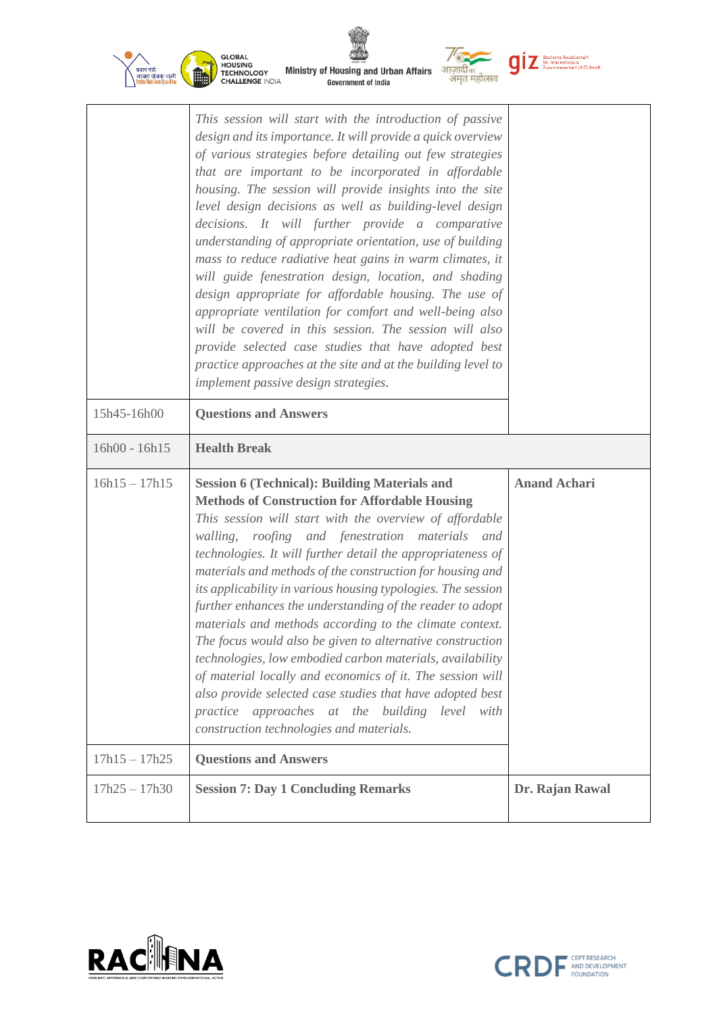| प्रधान मंत्री<br>आवास योजना-शहरी | <b>GLOBAL</b><br><b>HOUSING</b><br><b>Ministry of Housing and Urban Affairs</b><br><b>TECHNOLOGY</b><br>अमृत महोत्सव<br><b>CHALLENGE INDIA</b><br><b>Government of India</b>                                                                                                                                                                                                                                                                                                                                                                                                                                                                                                                                                                                                                                                                                                                                                                           | <b>Deutsche Gesellschaft</b><br>für Internationale<br>Zusammenarbeit (GIZ) GmbH |
|----------------------------------|--------------------------------------------------------------------------------------------------------------------------------------------------------------------------------------------------------------------------------------------------------------------------------------------------------------------------------------------------------------------------------------------------------------------------------------------------------------------------------------------------------------------------------------------------------------------------------------------------------------------------------------------------------------------------------------------------------------------------------------------------------------------------------------------------------------------------------------------------------------------------------------------------------------------------------------------------------|---------------------------------------------------------------------------------|
|                                  | This session will start with the introduction of passive<br>design and its importance. It will provide a quick overview<br>of various strategies before detailing out few strategies<br>that are important to be incorporated in affordable<br>housing. The session will provide insights into the site<br>level design decisions as well as building-level design<br>decisions. It will further provide a comparative<br>understanding of appropriate orientation, use of building<br>mass to reduce radiative heat gains in warm climates, it<br>will guide fenestration design, location, and shading<br>design appropriate for affordable housing. The use of<br>appropriate ventilation for comfort and well-being also<br>will be covered in this session. The session will also<br>provide selected case studies that have adopted best<br>practice approaches at the site and at the building level to<br>implement passive design strategies. |                                                                                 |
| 15h45-16h00                      | <b>Questions and Answers</b>                                                                                                                                                                                                                                                                                                                                                                                                                                                                                                                                                                                                                                                                                                                                                                                                                                                                                                                           |                                                                                 |
|                                  |                                                                                                                                                                                                                                                                                                                                                                                                                                                                                                                                                                                                                                                                                                                                                                                                                                                                                                                                                        |                                                                                 |
| 16h00 - 16h15                    | <b>Health Break</b>                                                                                                                                                                                                                                                                                                                                                                                                                                                                                                                                                                                                                                                                                                                                                                                                                                                                                                                                    |                                                                                 |
| $16h15 - 17h15$                  | <b>Session 6 (Technical): Building Materials and</b><br><b>Methods of Construction for Affordable Housing</b><br>This session will start with the overview of affordable<br>roofing and fenestration materials<br>walling,<br>and<br>technologies. It will further detail the appropriateness of<br>materials and methods of the construction for housing and<br>its applicability in various housing typologies. The session<br>further enhances the understanding of the reader to adopt<br>materials and methods according to the climate context.<br>The focus would also be given to alternative construction<br>technologies, low embodied carbon materials, availability<br>of material locally and economics of it. The session will<br>also provide selected case studies that have adopted best<br>practice approaches at the building level with<br>construction technologies and materials.                                                | <b>Anand Achari</b>                                                             |
| $17h15 - 17h25$                  | <b>Questions and Answers</b>                                                                                                                                                                                                                                                                                                                                                                                                                                                                                                                                                                                                                                                                                                                                                                                                                                                                                                                           |                                                                                 |

◈



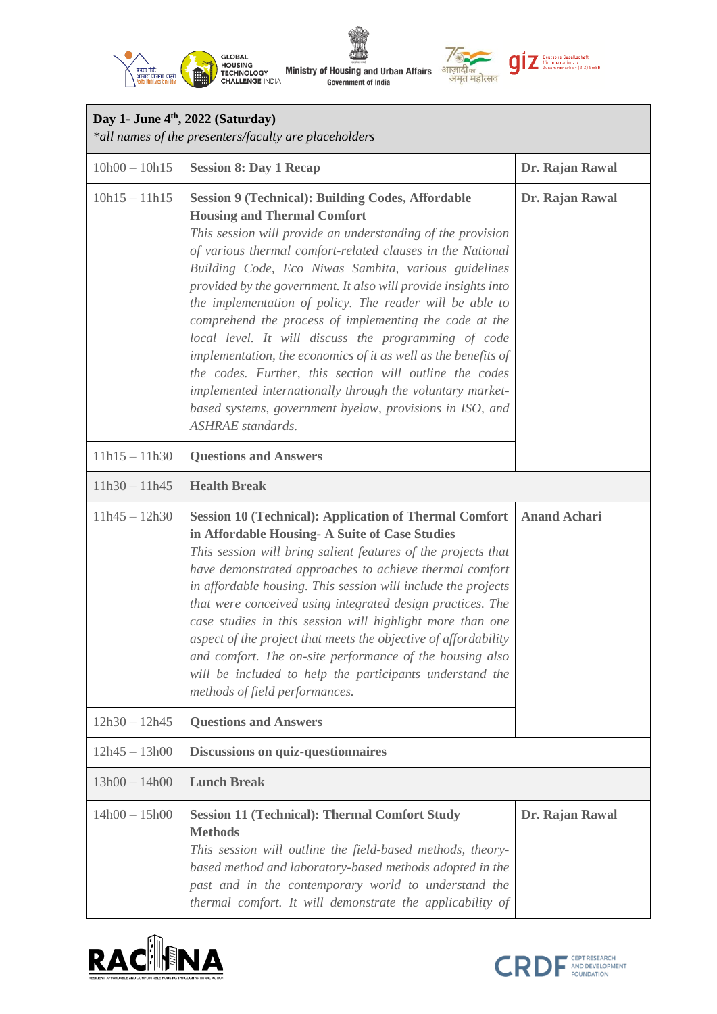



| Day 1- June 4 <sup>th</sup> , 2022 (Saturday)<br>*all names of the presenters/faculty are placeholders |                                                                                                                                                                                                                                                                                                                                                                                                                                                                                                                                                                                                                                                                                                                                                                                                                       |                     |  |
|--------------------------------------------------------------------------------------------------------|-----------------------------------------------------------------------------------------------------------------------------------------------------------------------------------------------------------------------------------------------------------------------------------------------------------------------------------------------------------------------------------------------------------------------------------------------------------------------------------------------------------------------------------------------------------------------------------------------------------------------------------------------------------------------------------------------------------------------------------------------------------------------------------------------------------------------|---------------------|--|
| $10h00 - 10h15$                                                                                        | <b>Session 8: Day 1 Recap</b>                                                                                                                                                                                                                                                                                                                                                                                                                                                                                                                                                                                                                                                                                                                                                                                         | Dr. Rajan Rawal     |  |
| $10h15 - 11h15$                                                                                        | <b>Session 9 (Technical): Building Codes, Affordable</b><br><b>Housing and Thermal Comfort</b><br>This session will provide an understanding of the provision<br>of various thermal comfort-related clauses in the National<br>Building Code, Eco Niwas Samhita, various guidelines<br>provided by the government. It also will provide insights into<br>the implementation of policy. The reader will be able to<br>comprehend the process of implementing the code at the<br>local level. It will discuss the programming of code<br>implementation, the economics of it as well as the benefits of<br>the codes. Further, this section will outline the codes<br>implemented internationally through the voluntary market-<br>based systems, government byelaw, provisions in ISO, and<br><b>ASHRAE</b> standards. | Dr. Rajan Rawal     |  |
| $11h15 - 11h30$                                                                                        | <b>Questions and Answers</b>                                                                                                                                                                                                                                                                                                                                                                                                                                                                                                                                                                                                                                                                                                                                                                                          |                     |  |
| $11h30 - 11h45$                                                                                        | <b>Health Break</b>                                                                                                                                                                                                                                                                                                                                                                                                                                                                                                                                                                                                                                                                                                                                                                                                   |                     |  |
| $11h45 - 12h30$                                                                                        | <b>Session 10 (Technical): Application of Thermal Comfort</b><br>in Affordable Housing- A Suite of Case Studies<br>This session will bring salient features of the projects that<br>have demonstrated approaches to achieve thermal comfort<br>in affordable housing. This session will include the projects<br>that were conceived using integrated design practices. The<br>case studies in this session will highlight more than one<br>aspect of the project that meets the objective of affordability<br>and comfort. The on-site performance of the housing also<br>will be included to help the participants understand the<br>methods of field performances.                                                                                                                                                  | <b>Anand Achari</b> |  |
| $12h30 - 12h45$                                                                                        | <b>Questions and Answers</b>                                                                                                                                                                                                                                                                                                                                                                                                                                                                                                                                                                                                                                                                                                                                                                                          |                     |  |
| $12h45 - 13h00$                                                                                        | <b>Discussions on quiz-questionnaires</b>                                                                                                                                                                                                                                                                                                                                                                                                                                                                                                                                                                                                                                                                                                                                                                             |                     |  |
| $13h00 - 14h00$                                                                                        | <b>Lunch Break</b>                                                                                                                                                                                                                                                                                                                                                                                                                                                                                                                                                                                                                                                                                                                                                                                                    |                     |  |
| $14h00 - 15h00$                                                                                        | <b>Session 11 (Technical): Thermal Comfort Study</b><br><b>Methods</b><br>This session will outline the field-based methods, theory-<br>based method and laboratory-based methods adopted in the<br>past and in the contemporary world to understand the<br>thermal comfort. It will demonstrate the applicability of                                                                                                                                                                                                                                                                                                                                                                                                                                                                                                 | Dr. Rajan Rawal     |  |